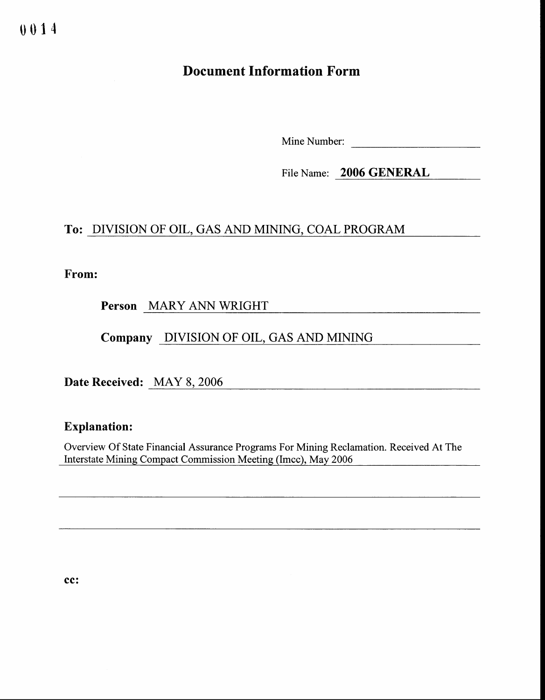## Document Information Form

Mine Number:

File Name: 2006 GENERAL

## To: DIVISION OF OIL, GAS AND MINING, COAL PROGRAM

From:

Person MARY ANN WRIGHT

Company DIVISION OF OIL, GAS AND MINING

Date Received: MAY 8, 2006

## Explanation:

Overview Of State Financial Assurance Programs For Mining Reclamation. Received At The Interstate Mining Compact Commission Meeting (Imcc), May 2006

cc: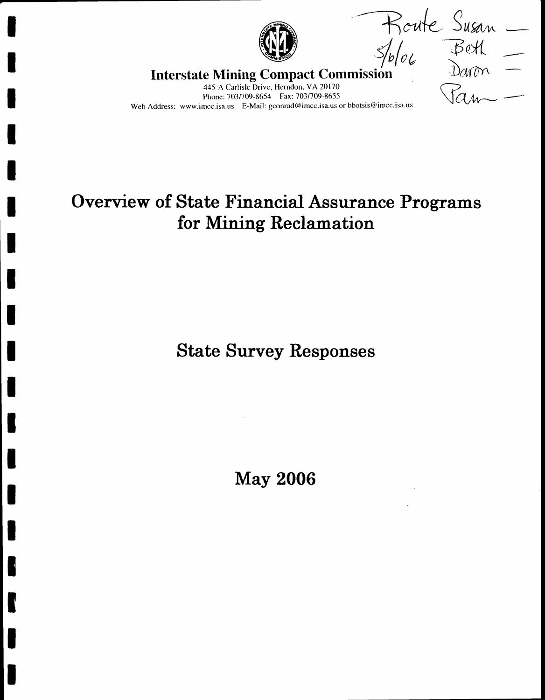

The Sphere Treaterstate Mining Compact Commission Dard

445-A Carlisle Drive, Herndon, VA 20170 Phone: 703/709-8654 Fax: 703/709-8655 Web Address: www.imcc.isa.us E-Mail: gconrad@imcc.isa.us or bbotsis@imcc.isa.us

## Overview of State Financial Assurance Programs for Mining Reclamation

State Survey Responses

May 2006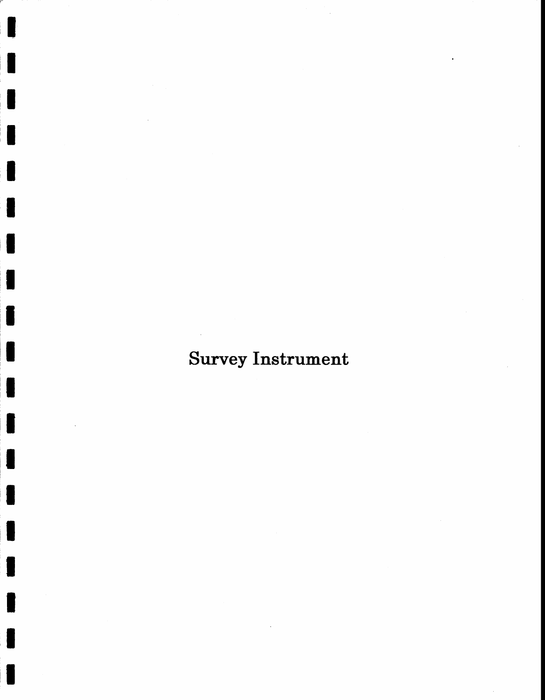# Survey Instrument

I<br>I

t

IIITII KANSAN KUNINGI KANSAN KUNINGI KANSAN KUNINGI KANSAN KUNINGI KANSAN KUNINGI KANSAN KUNINGI KANSAN KUNING

IIIIIII

t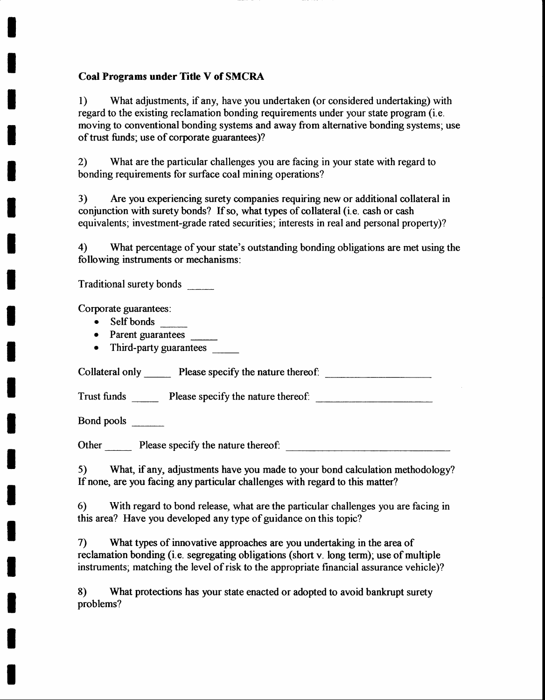### Coal Programs under Title V of SMCRA

1) What adjustments, if any, have you undertaken (or considered undertaking) with regard to the existing reclamation bonding requirements under your state program (i.e. moving to conventional bonding systems and away from alternative bonding systems; use of trust funds; use of corporate guarantees)?

2) What are the particular challenges you are facing in your state with regard to bonding requirements for surface coal mining operations?

3) Are you experiencing surety companies requiring new or additional collateral in conjunction with surety bonds? If so, what types of collateral (i.e. cash or cash equivalents; investment-grade rated securities; interests in real and personal property)?

4) What percentage of your state's outstanding bonding obligations are met using the following instruments or mechanisms :

Traditional surety bonds

Corporate guarantees:

I

I

I

I

I

I

I

T

I

T

t

t

I

I

I

I

I

I

I

- Self bonds
- Parent guarantees \_\_\_\_\_\_\_
- Third-party guarantees

Collateral only Please specify the nature thereof.

Trust funds Please specify the nature thereof:

Bond pools

Other Please specify the nature thereof:

5) What, if any, adjustments have you made to your bond calculation methodology? If none, are you facing any particular challenges with regard to this matter?

6) With regard to bond release, what are the particular challenges you are facing in this area? Have you developed any type of guidance on this topic?

7) What types of innovative approaches are you undertaking in the area of reclamation bonding (i.e. segregating obligations (short v. long term); use of multiple instruments; matching the level of risk to the appropriate financial assurance vehicle)?

8) What protections has your state enacted or adopted to avoid bankrupt surety problems?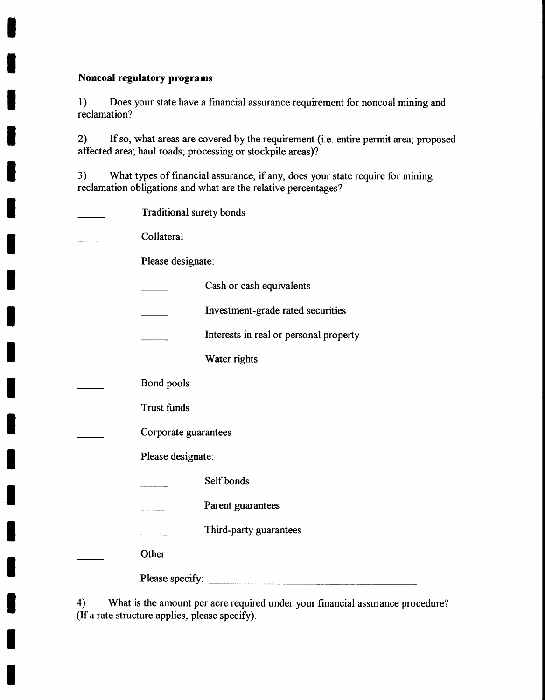#### Noncoal regulatory programs

I

T

I

I

I

I

t

I

I

I

T

I

l

I

I

I

I

T

I

l) Does your state have a financial assurance requirement for noncoal mining and reclamation?

2) If so, what areas are covered bythe requirement (i.e. entire permit area; proposed affected area; haul roads; processing or stockpile areas)?

3) What types of financial assurance, if any, does your state require for mining reclamation obligations and what are the relative percentages?

| Traditional surety bonds |                                        |
|--------------------------|----------------------------------------|
| Collateral               |                                        |
| Please designate:        |                                        |
|                          | Cash or cash equivalents               |
|                          | Investment-grade rated securities      |
|                          | Interests in real or personal property |
|                          | Water rights                           |
| Bond pools               |                                        |
| <b>Trust funds</b>       |                                        |
| Corporate guarantees     |                                        |
| Please designate:        |                                        |
|                          | Self bonds                             |
|                          | Parent guarantees                      |
|                          | Third-party guarantees                 |
| Other                    |                                        |
| Please specify:          |                                        |

4) What is the amount per acre required under your financial assurance procedure? (If a rate structure applies, please specify).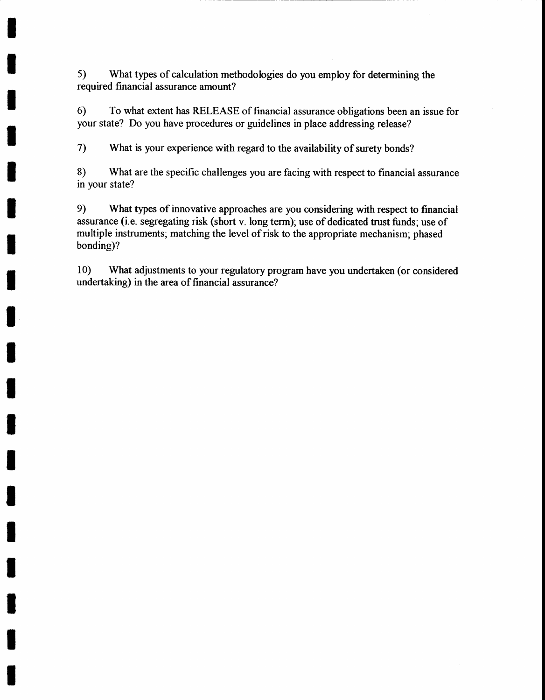5) What types of calculation methodologies do you employ for determining the required financial assurance amount?

I

I

I

I

I

T

t

I

I

I

I

I

I

I

I

I

I

I

I

6) To what extent has RELEASE of financial assurance obligations been an issue for your state? Do you have procedures or guidelines in place addressing release?

7) What is your experience with regard to the availability of surety bonds?

8) What are the specific challenges you are facing with respect to financial assurance in your state?

9) What types of innovative approaches are you considering with respect to financial assurance (i.e. segregating risk (short v. long term); use of dedicated trust funds; use of multiple instruments; matching the level of risk to the appropriate mechanism; phased bonding)?

10) What adjustments to your regulatory program have you undertaken (or considered undertaking) in the area of financial assurance?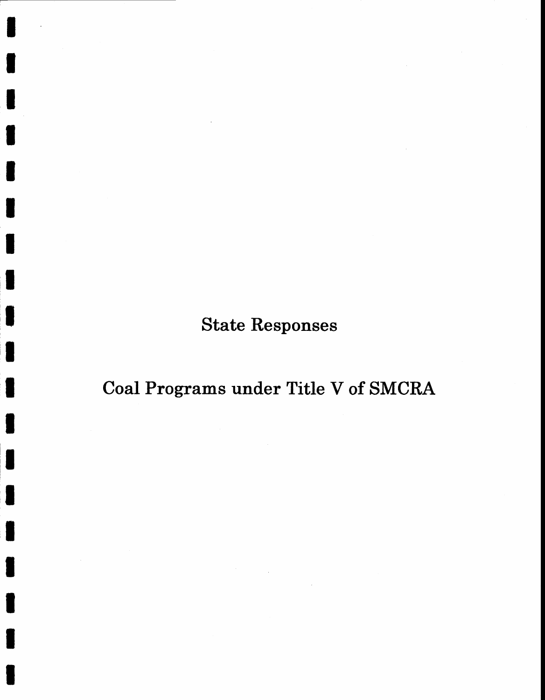State Responses

Coal Programs under Title V of SMCRA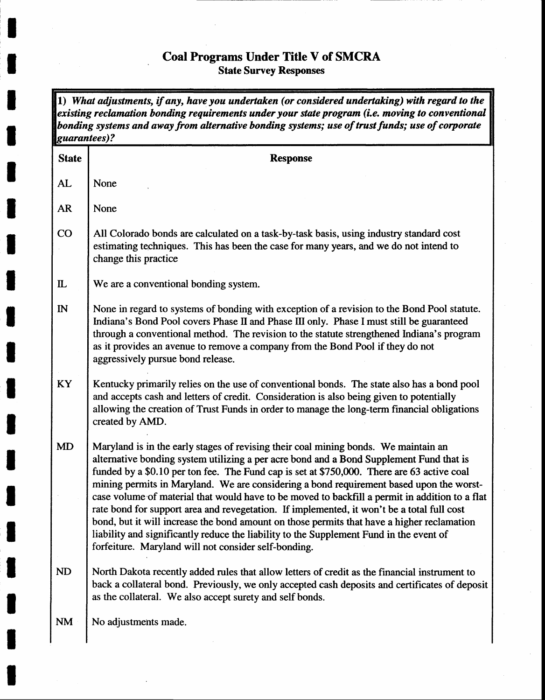### Coal Programs Under Title V of SMCRA State Survey Responses

I

I

I

T

I

I

I

I

I

t

I

I

I

I

I

I

I

I

 $\overline{\phantom{a}}$ 

 $\mathbf{I}$ 

t

1) What adjustments, if any, have you undertaken (or considered undertaking) with regard to the existing reclamation bonding requirements under your state program (i.e. moving to conventional bonding systems and away from alternative bonding systems; use of trust funds; use of corporate quarantees)?

| <b>State</b> | <b>Response</b>                                                                                                                                                                                                                                                                                                                                                                                                                                                                                                                                                                                                                                                                                                                                                                                                          |
|--------------|--------------------------------------------------------------------------------------------------------------------------------------------------------------------------------------------------------------------------------------------------------------------------------------------------------------------------------------------------------------------------------------------------------------------------------------------------------------------------------------------------------------------------------------------------------------------------------------------------------------------------------------------------------------------------------------------------------------------------------------------------------------------------------------------------------------------------|
| AL           | None                                                                                                                                                                                                                                                                                                                                                                                                                                                                                                                                                                                                                                                                                                                                                                                                                     |
| <b>AR</b>    | None                                                                                                                                                                                                                                                                                                                                                                                                                                                                                                                                                                                                                                                                                                                                                                                                                     |
| CO           | All Colorado bonds are calculated on a task-by-task basis, using industry standard cost<br>estimating techniques. This has been the case for many years, and we do not intend to<br>change this practice                                                                                                                                                                                                                                                                                                                                                                                                                                                                                                                                                                                                                 |
| $\mathbf{L}$ | We are a conventional bonding system.                                                                                                                                                                                                                                                                                                                                                                                                                                                                                                                                                                                                                                                                                                                                                                                    |
| $\mathbb{N}$ | None in regard to systems of bonding with exception of a revision to the Bond Pool statute.<br>Indiana's Bond Pool covers Phase II and Phase III only. Phase I must still be guaranteed<br>through a conventional method. The revision to the statute strengthened Indiana's program<br>as it provides an avenue to remove a company from the Bond Pool if they do not<br>aggressively pursue bond release.                                                                                                                                                                                                                                                                                                                                                                                                              |
| KY           | Kentucky primarily relies on the use of conventional bonds. The state also has a bond pool<br>and accepts cash and letters of credit. Consideration is also being given to potentially<br>allowing the creation of Trust Funds in order to manage the long-term financial obligations<br>created by AMD.                                                                                                                                                                                                                                                                                                                                                                                                                                                                                                                 |
| <b>MD</b>    | Maryland is in the early stages of revising their coal mining bonds. We maintain an<br>alternative bonding system utilizing a per acre bond and a Bond Supplement Fund that is<br>funded by a \$0.10 per ton fee. The Fund cap is set at \$750,000. There are 63 active coal<br>mining permits in Maryland. We are considering a bond requirement based upon the worst-<br>case volume of material that would have to be moved to backfill a permit in addition to a flat<br>rate bond for support area and revegetation. If implemented, it won't be a total full cost<br>bond, but it will increase the bond amount on those permits that have a higher reclamation<br>liability and significantly reduce the liability to the Supplement Fund in the event of<br>forfeiture. Maryland will not consider self-bonding. |
| <b>ND</b>    | North Dakota recently added rules that allow letters of credit as the financial instrument to<br>back a collateral bond. Previously, we only accepted cash deposits and certificates of deposit<br>as the collateral. We also accept surety and self bonds.                                                                                                                                                                                                                                                                                                                                                                                                                                                                                                                                                              |
| <b>NM</b>    | No adjustments made.                                                                                                                                                                                                                                                                                                                                                                                                                                                                                                                                                                                                                                                                                                                                                                                                     |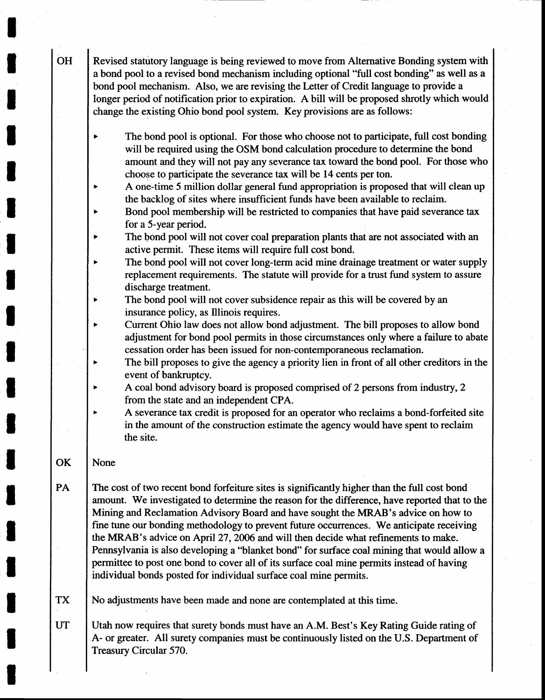Revised statutory language is being reviewed to move from Alternative Bonding system with a bond pool to a revised bond mechanism including optional "full cost bonding" as well as a bond pool mechanism. Also, we are revising the Letter of Credit language to provide a longer period of notification prior to expiration. A bill will be proposed shrotly which would change the existing Ohio bond pool system. Key provisions are as follows:

- The bond pool is optional. For those who choose not to participate, full cost bonding  $\mathbf{r}$ will be required using the OSM bond calculation procedure to determine the bond amount and they will not pay any severance tax toward the bond pool. For those who choose to participate the severance tax will be 14 cents per ton.
- A one-time 5 million dollar general fund appropriation is proposed that will clean up the backlog of sites where insufficient funds have been available to reclaim.
- Bond pool membership will be restricted to companies that have paid severance tax for a 5-year period.
- The bond pool will not cover coal preparation plants that are not associated with an active permit. These items will require full cost bond.
- The bond pool will not cover long-term acid mine drainage treatment or water supply replacement requirements. The statute will provide for a trust fund system to assure discharge treatment.
- The bond pool will not cover subsidence repair as this will be covered by an  $\blacktriangleright$ insurance policy, as Illinois requires.
- Current Ohio law does not allow bond adjustment. The bill proposes to allow bond adjustment for bond pool permits in those circumstances only where a failure to abate cessation order has been issued for non-contemporaneous reclamation.
- The bill proposes to give the agency a priority lien in front of all other creditors in the event of bankruptcy.
- A coal bond advisory board is proposed comprised of 2 persons from industry, 2 from the state and an independent CPA.
- A severance tax credit is proposed for an operator who reclaims a bond-forfeited site in the amount of the construction estimate the agency would have spent to reclaim the site.

#### **OK** None

PA The cost of two recent bond forfeiture sites is significantly higher than the full cost bond amount. We investigated to determine the reason for the difference, have reported that to the Mining and Reclamation Advisory Board and have sought the MRAB's advice on how to fine tune our bonding methodology to prevent future occurrences. We anticipate receiving the MRAB's advice on April 27 , 2006 and will then decide what refinements to make. Pennsylvania is also developing a "blanket bond" for surface coal mining that would allow a permittee to post one bond to cover all of its surface coal mine permits instead of having individual bonds posted for individual surface coal mine permits.

TX No adjustments have been made and none are contemplated at this time.

Utah now requires that surety bonds must have an A.M. Best's Key Rating Guide rating of A- or greater. All surety companies must be continuously listed on the U.S. Department of Treasury Circular 570. **UT** 

**OH** 

I

I

t

I

I

I

I

I

l

I

I

I

I

l

I

I

I

t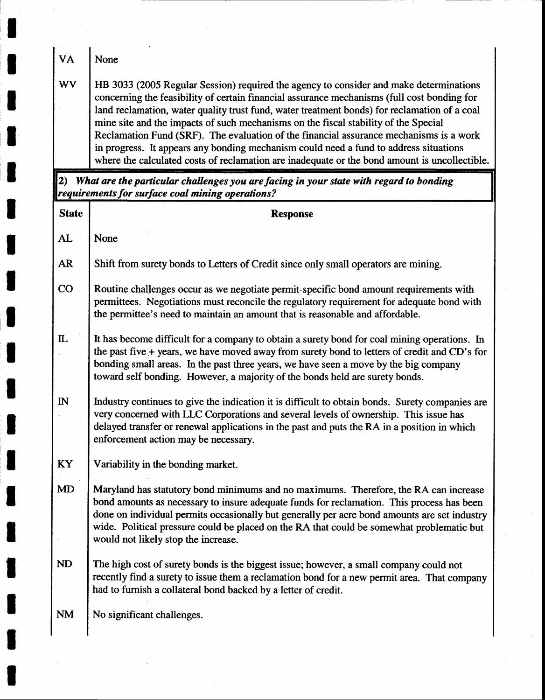| <b>VA</b>    | None                                                                                                                                                                                                                                                                                                                                                                                                                                                                                                                                                                                                                                                             |
|--------------|------------------------------------------------------------------------------------------------------------------------------------------------------------------------------------------------------------------------------------------------------------------------------------------------------------------------------------------------------------------------------------------------------------------------------------------------------------------------------------------------------------------------------------------------------------------------------------------------------------------------------------------------------------------|
| <b>WV</b>    | HB 3033 (2005 Regular Session) required the agency to consider and make determinations<br>concerning the feasibility of certain financial assurance mechanisms (full cost bonding for<br>land reclamation, water quality trust fund, water treatment bonds) for reclamation of a coal<br>mine site and the impacts of such mechanisms on the fiscal stability of the Special<br>Reclamation Fund (SRF). The evaluation of the financial assurance mechanisms is a work<br>in progress. It appears any bonding mechanism could need a fund to address situations<br>where the calculated costs of reclamation are inadequate or the bond amount is uncollectible. |
|              | 2) What are the particular challenges you are facing in your state with regard to bonding<br>requirements for surface coal mining operations?                                                                                                                                                                                                                                                                                                                                                                                                                                                                                                                    |
| <b>State</b> | <b>Response</b>                                                                                                                                                                                                                                                                                                                                                                                                                                                                                                                                                                                                                                                  |
| AL           | None                                                                                                                                                                                                                                                                                                                                                                                                                                                                                                                                                                                                                                                             |
| <b>AR</b>    | Shift from surety bonds to Letters of Credit since only small operators are mining.                                                                                                                                                                                                                                                                                                                                                                                                                                                                                                                                                                              |
| CO           | Routine challenges occur as we negotiate permit-specific bond amount requirements with<br>permittees. Negotiations must reconcile the regulatory requirement for adequate bond with<br>the permittee's need to maintain an amount that is reasonable and affordable.                                                                                                                                                                                                                                                                                                                                                                                             |
| $\mathbf{L}$ | It has become difficult for a company to obtain a surety bond for coal mining operations. In<br>the past five + years, we have moved away from surety bond to letters of credit and CD's for<br>bonding small areas. In the past three years, we have seen a move by the big company<br>toward self bonding. However, a majority of the bonds held are surety bonds.                                                                                                                                                                                                                                                                                             |
| $\mathbb{N}$ | Industry continues to give the indication it is difficult to obtain bonds. Surety companies are<br>very concerned with LLC Corporations and several levels of ownership. This issue has<br>delayed transfer or renewal applications in the past and puts the RA in a position in which<br>enforcement action may be necessary.                                                                                                                                                                                                                                                                                                                                   |
| KY           | Variability in the bonding market.                                                                                                                                                                                                                                                                                                                                                                                                                                                                                                                                                                                                                               |
| <b>MD</b>    | Maryland has statutory bond minimums and no maximums. Therefore, the RA can increase<br>bond amounts as necessary to insure adequate funds for reclamation. This process has been<br>done on individual permits occasionally but generally per acre bond amounts are set industry<br>wide. Political pressure could be placed on the RA that could be somewhat problematic but<br>would not likely stop the increase.                                                                                                                                                                                                                                            |
| ND           | The high cost of surety bonds is the biggest issue; however, a small company could not<br>recently find a surety to issue them a reclamation bond for a new permit area. That company<br>had to furnish a collateral bond backed by a letter of credit.                                                                                                                                                                                                                                                                                                                                                                                                          |
| <b>NM</b>    | No significant challenges.                                                                                                                                                                                                                                                                                                                                                                                                                                                                                                                                                                                                                                       |
|              |                                                                                                                                                                                                                                                                                                                                                                                                                                                                                                                                                                                                                                                                  |

 $\bar{\lambda}$ 

I

 $\frac{1}{2} \left( \frac{1}{2} \right)$ 

I

I

I

t

I

t

rl

I

I

I

I

I

I

I

I

I

I

 $\mathcal{A}$ 

 $\sim 10^{-10}$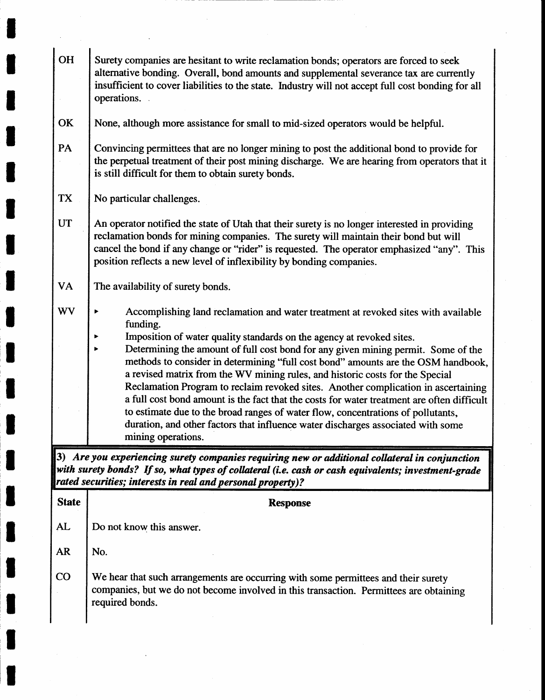| <b>OH</b>    | Surety companies are hesitant to write reclamation bonds; operators are forced to seek<br>alternative bonding. Overall, bond amounts and supplemental severance tax are currently<br>insufficient to cover liabilities to the state. Industry will not accept full cost bonding for all<br>operations.                                                                                                                                                                                                                                               |
|--------------|------------------------------------------------------------------------------------------------------------------------------------------------------------------------------------------------------------------------------------------------------------------------------------------------------------------------------------------------------------------------------------------------------------------------------------------------------------------------------------------------------------------------------------------------------|
| OK           | None, although more assistance for small to mid-sized operators would be helpful.                                                                                                                                                                                                                                                                                                                                                                                                                                                                    |
| PA           | Convincing permittees that are no longer mining to post the additional bond to provide for<br>the perpetual treatment of their post mining discharge. We are hearing from operators that it<br>is still difficult for them to obtain surety bonds.                                                                                                                                                                                                                                                                                                   |
| TX           | No particular challenges.                                                                                                                                                                                                                                                                                                                                                                                                                                                                                                                            |
| <b>UT</b>    | An operator notified the state of Utah that their surety is no longer interested in providing<br>reclamation bonds for mining companies. The surety will maintain their bond but will<br>cancel the bond if any change or "rider" is requested. The operator emphasized "any". This<br>position reflects a new level of inflexibility by bonding companies.                                                                                                                                                                                          |
| <b>VA</b>    | The availability of surety bonds.                                                                                                                                                                                                                                                                                                                                                                                                                                                                                                                    |
| <b>WV</b>    | Accomplishing land reclamation and water treatment at revoked sites with available<br>funding.<br>Imposition of water quality standards on the agency at revoked sites.<br>▶<br>Determining the amount of full cost bond for any given mining permit. Some of the<br>▶                                                                                                                                                                                                                                                                               |
|              | methods to consider in determining "full cost bond" amounts are the OSM handbook,<br>a revised matrix from the WV mining rules, and historic costs for the Special<br>Reclamation Program to reclaim revoked sites. Another complication in ascertaining<br>a full cost bond amount is the fact that the costs for water treatment are often difficult<br>to estimate due to the broad ranges of water flow, concentrations of pollutants,<br>duration, and other factors that influence water discharges associated with some<br>mining operations. |
|              | 3) Are you experiencing surety companies requiring new or additional collateral in conjunction<br>with surety bonds? If so, what types of collateral (i.e. cash or cash equivalents; investment-grade                                                                                                                                                                                                                                                                                                                                                |
|              | rated securities; interests in real and personal property)?                                                                                                                                                                                                                                                                                                                                                                                                                                                                                          |
| <b>State</b> | <b>Response</b>                                                                                                                                                                                                                                                                                                                                                                                                                                                                                                                                      |
| AL           | Do not know this answer.                                                                                                                                                                                                                                                                                                                                                                                                                                                                                                                             |
| <b>AR</b>    | No.                                                                                                                                                                                                                                                                                                                                                                                                                                                                                                                                                  |
| $\rm CO$     | We hear that such arrangements are occurring with some permittees and their surety<br>companies, but we do not become involved in this transaction. Permittees are obtaining<br>required bonds.                                                                                                                                                                                                                                                                                                                                                      |

T

t

I

I

I

I

I

I

I

I

I

l

I

l

I

t

t

t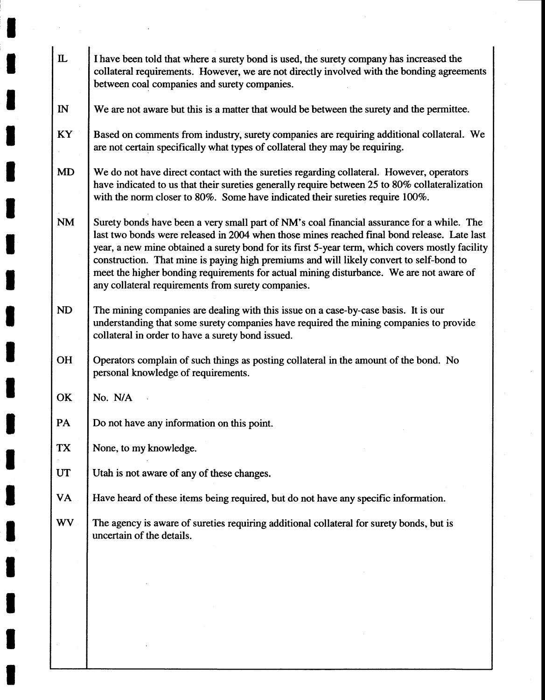| $\mathbf{L}$ | I have been told that where a surety bond is used, the surety company has increased the<br>collateral requirements. However, we are not directly involved with the bonding agreements<br>between coal companies and surety companies.                                                                                                                                                                                                                                                                                                    |
|--------------|------------------------------------------------------------------------------------------------------------------------------------------------------------------------------------------------------------------------------------------------------------------------------------------------------------------------------------------------------------------------------------------------------------------------------------------------------------------------------------------------------------------------------------------|
| $\mathbb{N}$ | We are not aware but this is a matter that would be between the surety and the permittee.                                                                                                                                                                                                                                                                                                                                                                                                                                                |
| KY           | Based on comments from industry, surety companies are requiring additional collateral. We<br>are not certain specifically what types of collateral they may be requiring.                                                                                                                                                                                                                                                                                                                                                                |
| <b>MD</b>    | We do not have direct contact with the sureties regarding collateral. However, operators<br>have indicated to us that their sureties generally require between 25 to 80% collateralization<br>with the norm closer to 80%. Some have indicated their sureties require 100%.                                                                                                                                                                                                                                                              |
| <b>NM</b>    | Surety bonds have been a very small part of NM's coal financial assurance for a while. The<br>last two bonds were released in 2004 when those mines reached final bond release. Late last<br>year, a new mine obtained a surety bond for its first 5-year term, which covers mostly facility<br>construction. That mine is paying high premiums and will likely convert to self-bond to<br>meet the higher bonding requirements for actual mining disturbance. We are not aware of<br>any collateral requirements from surety companies. |
| <b>ND</b>    | The mining companies are dealing with this issue on a case-by-case basis. It is our<br>understanding that some surety companies have required the mining companies to provide<br>collateral in order to have a surety bond issued.                                                                                                                                                                                                                                                                                                       |
| OH           | Operators complain of such things as posting collateral in the amount of the bond. No<br>personal knowledge of requirements.                                                                                                                                                                                                                                                                                                                                                                                                             |
| OK           | No. N/A                                                                                                                                                                                                                                                                                                                                                                                                                                                                                                                                  |
| PA           | Do not have any information on this point.                                                                                                                                                                                                                                                                                                                                                                                                                                                                                               |
| <b>TX</b>    | None, to my knowledge.                                                                                                                                                                                                                                                                                                                                                                                                                                                                                                                   |
| <b>UT</b>    | Utah is not aware of any of these changes.                                                                                                                                                                                                                                                                                                                                                                                                                                                                                               |
| VA           | Have heard of these items being required, but do not have any specific information.                                                                                                                                                                                                                                                                                                                                                                                                                                                      |
| <b>WV</b>    | The agency is aware of sureties requiring additional collateral for surety bonds, but is<br>uncertain of the details.                                                                                                                                                                                                                                                                                                                                                                                                                    |
|              |                                                                                                                                                                                                                                                                                                                                                                                                                                                                                                                                          |
|              |                                                                                                                                                                                                                                                                                                                                                                                                                                                                                                                                          |
|              |                                                                                                                                                                                                                                                                                                                                                                                                                                                                                                                                          |
|              |                                                                                                                                                                                                                                                                                                                                                                                                                                                                                                                                          |

I

I

T

I

I

t

I

I

I

I

I

I

t

I

t

I

I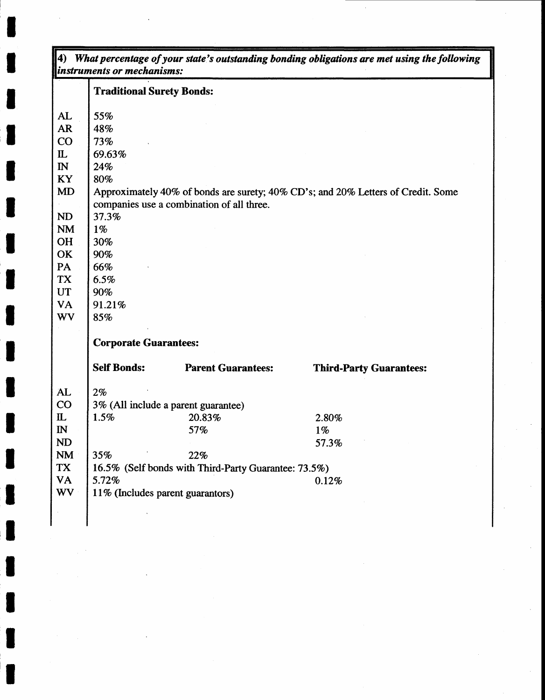|              | <b>Traditional Surety Bonds:</b> |                                                      |                                                                                  |  |
|--------------|----------------------------------|------------------------------------------------------|----------------------------------------------------------------------------------|--|
| AL           | 55%                              |                                                      |                                                                                  |  |
| <b>AR</b>    | 48%                              |                                                      |                                                                                  |  |
| CO           | 73%                              |                                                      |                                                                                  |  |
| $\mathbf{L}$ | 69.63%                           |                                                      |                                                                                  |  |
| $\mathbb{N}$ | 24%                              |                                                      |                                                                                  |  |
| <b>KY</b>    | 80%                              |                                                      |                                                                                  |  |
| MD           |                                  |                                                      | Approximately 40% of bonds are surety; 40% CD's; and 20% Letters of Credit. Some |  |
|              |                                  | companies use a combination of all three.            |                                                                                  |  |
| ND           | 37.3%                            |                                                      |                                                                                  |  |
| <b>NM</b>    | $1\%$                            |                                                      |                                                                                  |  |
| <b>OH</b>    | 30%                              |                                                      |                                                                                  |  |
| OK           | 90%                              |                                                      |                                                                                  |  |
| PA           | 66%                              |                                                      |                                                                                  |  |
| TX           | 6.5%                             |                                                      |                                                                                  |  |
| <b>UT</b>    | 90%                              |                                                      |                                                                                  |  |
| VA           | 91.21%                           |                                                      |                                                                                  |  |
| <b>WV</b>    | 85%                              |                                                      |                                                                                  |  |
|              | <b>Corporate Guarantees:</b>     |                                                      |                                                                                  |  |
|              | <b>Self Bonds:</b>               | <b>Parent Guarantees:</b>                            | <b>Third-Party Guarantees:</b>                                                   |  |
| AL           | 2%                               |                                                      |                                                                                  |  |
| CO           |                                  | 3% (All include a parent guarantee)                  |                                                                                  |  |
| $\mathbf{L}$ | 1.5%                             | 20.83%                                               | 2.80%                                                                            |  |
| $\mathbb{N}$ |                                  | 57%                                                  | $1\%$                                                                            |  |
| <b>ND</b>    |                                  |                                                      | 57.3%                                                                            |  |
| <b>NM</b>    | 35%                              | 22%                                                  |                                                                                  |  |
| <b>TX</b>    |                                  | 16.5% (Self bonds with Third-Party Guarantee: 73.5%) |                                                                                  |  |
| <b>VA</b>    | 5.72%                            |                                                      | 0.12%                                                                            |  |
| <b>WV</b>    | 11% (Includes parent guarantors) |                                                      |                                                                                  |  |

I

I

I

I

T

I

I

I

I

I

I

I

I

t

t

I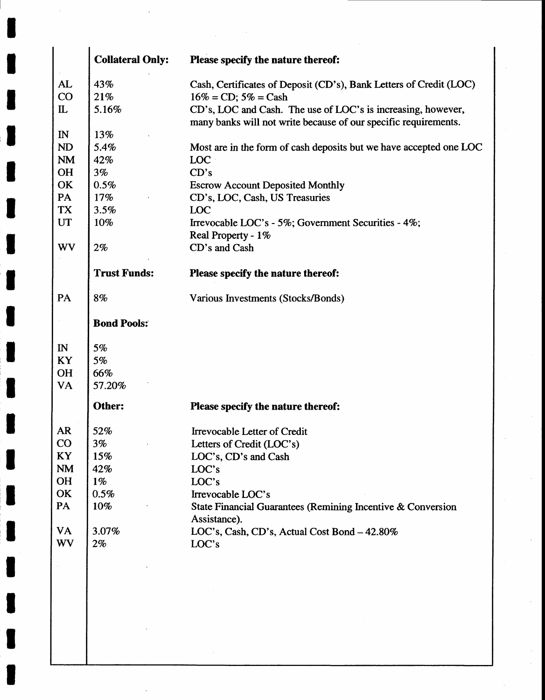|              | <b>Collateral Only:</b> | Please specify the nature thereof:                                                                                              |
|--------------|-------------------------|---------------------------------------------------------------------------------------------------------------------------------|
| AL           | 43%                     | Cash, Certificates of Deposit (CD's), Bank Letters of Credit (LOC)                                                              |
| CO           | 21%                     | $16\% = CD$ ; $5\% = Cash$                                                                                                      |
| $\mathbf{L}$ | 5.16%                   | CD's, LOC and Cash. The use of LOC's is increasing, however,<br>many banks will not write because of our specific requirements. |
| $\mathbb{N}$ | 13%                     |                                                                                                                                 |
| <b>ND</b>    | 5.4%                    | Most are in the form of cash deposits but we have accepted one LOC                                                              |
| <b>NM</b>    | 42%                     | LOC                                                                                                                             |
| <b>OH</b>    | 3%                      | CD's                                                                                                                            |
| OK           | 0.5%                    | <b>Escrow Account Deposited Monthly</b>                                                                                         |
| PA           | 17%                     | CD's, LOC, Cash, US Treasuries                                                                                                  |
| TX           | 3.5%                    | <b>LOC</b>                                                                                                                      |
| <b>UT</b>    | 10%                     | Irrevocable LOC's - 5%; Government Securities - 4%;<br>Real Property - 1%                                                       |
| WV           | $2\%$                   | CD's and Cash                                                                                                                   |
|              | <b>Trust Funds:</b>     | Please specify the nature thereof:                                                                                              |
| PA           | 8%                      | Various Investments (Stocks/Bonds)                                                                                              |
|              | <b>Bond Pools:</b>      |                                                                                                                                 |
| $\mathbb{N}$ | 5%                      |                                                                                                                                 |
| <b>KY</b>    | 5%                      |                                                                                                                                 |
| <b>OH</b>    | 66%                     |                                                                                                                                 |
| <b>VA</b>    | 57.20%                  |                                                                                                                                 |
|              | Other:                  | Please specify the nature thereof:                                                                                              |
| <b>AR</b>    | 52%                     | Irrevocable Letter of Credit                                                                                                    |
| $\rm CO$     | 3%                      | Letters of Credit (LOC's)                                                                                                       |
| KY           | 15%                     | LOC's, CD's and Cash                                                                                                            |
| <b>NM</b>    | 42%                     | LOC's                                                                                                                           |
| OH           | $1\%$                   | LOC's                                                                                                                           |
| OK           | 0.5%                    | Irrevocable LOC's                                                                                                               |
| PA           | 10%                     | State Financial Guarantees (Remining Incentive & Conversion<br>Assistance).                                                     |
| <b>VA</b>    | 3.07%                   | LOC's, Cash, CD's, Actual Cost Bond - 42.80%                                                                                    |
| <b>WV</b>    | $2\%$                   | LOC's                                                                                                                           |
|              |                         |                                                                                                                                 |
|              |                         |                                                                                                                                 |
|              |                         |                                                                                                                                 |
|              |                         |                                                                                                                                 |
|              |                         |                                                                                                                                 |
|              |                         |                                                                                                                                 |
|              |                         |                                                                                                                                 |

 $\bar{z}$ 

I

I

t

I

I

I

I

I

I

t

I

I

I

I

I

I

t

t

T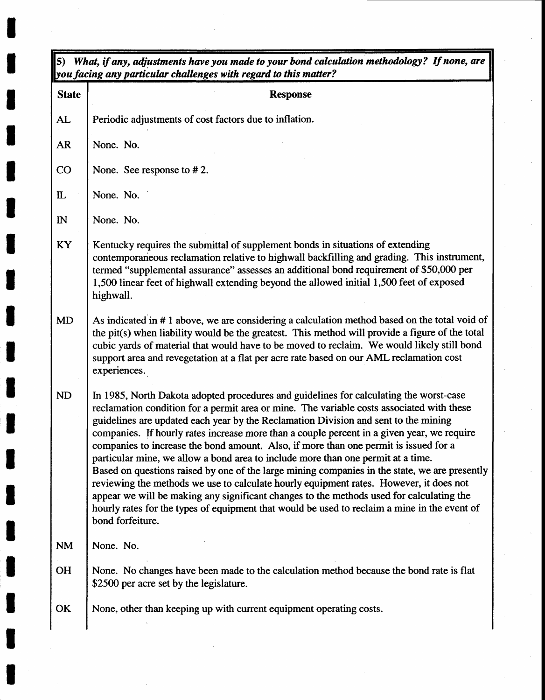| <b>State</b> | you facing any particular challenges with regard to this matter?<br><b>Response</b>                                                                                                                                                                                                                                                                                                                                                                                                                                                                                                                                                                                                                                                                                                                                                                                                                                                                             |
|--------------|-----------------------------------------------------------------------------------------------------------------------------------------------------------------------------------------------------------------------------------------------------------------------------------------------------------------------------------------------------------------------------------------------------------------------------------------------------------------------------------------------------------------------------------------------------------------------------------------------------------------------------------------------------------------------------------------------------------------------------------------------------------------------------------------------------------------------------------------------------------------------------------------------------------------------------------------------------------------|
|              |                                                                                                                                                                                                                                                                                                                                                                                                                                                                                                                                                                                                                                                                                                                                                                                                                                                                                                                                                                 |
| AL           | Periodic adjustments of cost factors due to inflation.                                                                                                                                                                                                                                                                                                                                                                                                                                                                                                                                                                                                                                                                                                                                                                                                                                                                                                          |
| <b>AR</b>    | None. No.                                                                                                                                                                                                                                                                                                                                                                                                                                                                                                                                                                                                                                                                                                                                                                                                                                                                                                                                                       |
| CO           | None. See response to #2.                                                                                                                                                                                                                                                                                                                                                                                                                                                                                                                                                                                                                                                                                                                                                                                                                                                                                                                                       |
| $\mathbf{L}$ | None. No.                                                                                                                                                                                                                                                                                                                                                                                                                                                                                                                                                                                                                                                                                                                                                                                                                                                                                                                                                       |
| $\mathbb{N}$ | None. No.                                                                                                                                                                                                                                                                                                                                                                                                                                                                                                                                                                                                                                                                                                                                                                                                                                                                                                                                                       |
| KY           | Kentucky requires the submittal of supplement bonds in situations of extending<br>contemporaneous reclamation relative to highwall backfilling and grading. This instrument,<br>termed "supplemental assurance" assesses an additional bond requirement of \$50,000 per<br>1,500 linear feet of highwall extending beyond the allowed initial 1,500 feet of exposed<br>highwall.                                                                                                                                                                                                                                                                                                                                                                                                                                                                                                                                                                                |
| MD           | As indicated in #1 above, we are considering a calculation method based on the total void of<br>the pit(s) when liability would be the greatest. This method will provide a figure of the total<br>cubic yards of material that would have to be moved to reclaim. We would likely still bond<br>support area and revegetation at a flat per acre rate based on our AML reclamation cost<br>experiences.                                                                                                                                                                                                                                                                                                                                                                                                                                                                                                                                                        |
| ND           | In 1985, North Dakota adopted procedures and guidelines for calculating the worst-case<br>reclamation condition for a permit area or mine. The variable costs associated with these<br>guidelines are updated each year by the Reclamation Division and sent to the mining<br>companies. If hourly rates increase more than a couple percent in a given year, we require<br>companies to increase the bond amount. Also, if more than one permit is issued for a<br>particular mine, we allow a bond area to include more than one permit at a time.<br>Based on questions raised by one of the large mining companies in the state, we are presently<br>reviewing the methods we use to calculate hourly equipment rates. However, it does not<br>appear we will be making any significant changes to the methods used for calculating the<br>hourly rates for the types of equipment that would be used to reclaim a mine in the event of<br>bond forfeiture. |
| <b>NM</b>    | None. No.                                                                                                                                                                                                                                                                                                                                                                                                                                                                                                                                                                                                                                                                                                                                                                                                                                                                                                                                                       |
| <b>OH</b>    | None. No changes have been made to the calculation method because the bond rate is flat<br>\$2500 per acre set by the legislature.                                                                                                                                                                                                                                                                                                                                                                                                                                                                                                                                                                                                                                                                                                                                                                                                                              |
| OK           | None, other than keeping up with current equipment operating costs.                                                                                                                                                                                                                                                                                                                                                                                                                                                                                                                                                                                                                                                                                                                                                                                                                                                                                             |

I

I

t

I

t

t

I

I

I

l

I

I

I

I

I

I

I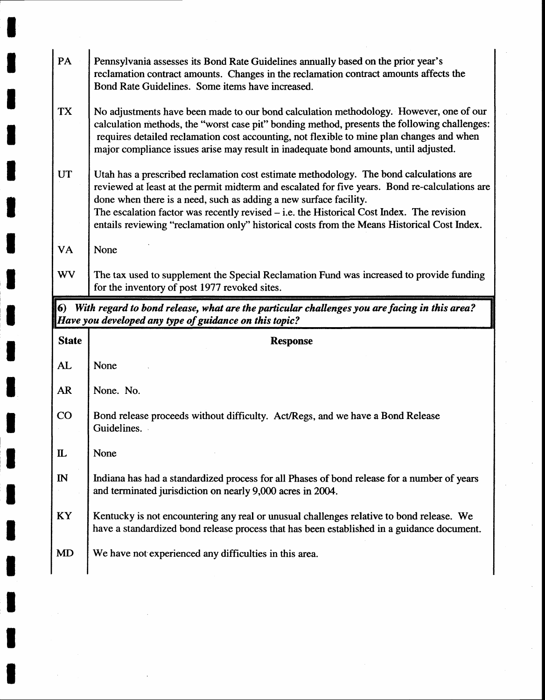| PA           | Pennsylvania assesses its Bond Rate Guidelines annually based on the prior year's<br>reclamation contract amounts. Changes in the reclamation contract amounts affects the<br>Bond Rate Guidelines. Some items have increased.                                                                                                                                                                                                                              |
|--------------|-------------------------------------------------------------------------------------------------------------------------------------------------------------------------------------------------------------------------------------------------------------------------------------------------------------------------------------------------------------------------------------------------------------------------------------------------------------|
| <b>TX</b>    | No adjustments have been made to our bond calculation methodology. However, one of our<br>calculation methods, the "worst case pit" bonding method, presents the following challenges:<br>requires detailed reclamation cost accounting, not flexible to mine plan changes and when<br>major compliance issues arise may result in inadequate bond amounts, until adjusted.                                                                                 |
| <b>UT</b>    | Utah has a prescribed reclamation cost estimate methodology. The bond calculations are<br>reviewed at least at the permit midterm and escalated for five years. Bond re-calculations are<br>done when there is a need, such as adding a new surface facility.<br>The escalation factor was recently revised $-$ i.e. the Historical Cost Index. The revision<br>entails reviewing "reclamation only" historical costs from the Means Historical Cost Index. |
| VA           | None                                                                                                                                                                                                                                                                                                                                                                                                                                                        |
| <b>WV</b>    | The tax used to supplement the Special Reclamation Fund was increased to provide funding                                                                                                                                                                                                                                                                                                                                                                    |
|              | for the inventory of post 1977 revoked sites.                                                                                                                                                                                                                                                                                                                                                                                                               |
|              | 6) With regard to bond release, what are the particular challenges you are facing in this area?<br>Have you developed any type of guidance on this topic?                                                                                                                                                                                                                                                                                                   |
| <b>State</b> | <b>Response</b>                                                                                                                                                                                                                                                                                                                                                                                                                                             |
| AL           | None                                                                                                                                                                                                                                                                                                                                                                                                                                                        |
| <b>AR</b>    | None. No.                                                                                                                                                                                                                                                                                                                                                                                                                                                   |
| CO           | Bond release proceeds without difficulty. Act/Regs, and we have a Bond Release<br>Guidelines.                                                                                                                                                                                                                                                                                                                                                               |
| ${\bf \Pi}$  | None                                                                                                                                                                                                                                                                                                                                                                                                                                                        |
| $\mathbb{N}$ | and terminated jurisdiction on nearly 9,000 acres in 2004.                                                                                                                                                                                                                                                                                                                                                                                                  |
| KY           | Indiana has had a standardized process for all Phases of bond release for a number of years<br>Kentucky is not encountering any real or unusual challenges relative to bond release. We<br>have a standardized bond release process that has been established in a guidance document.                                                                                                                                                                       |

I

I

 $\sim 10^6$ 

 $\sim$ 

I

t

 $\sim$